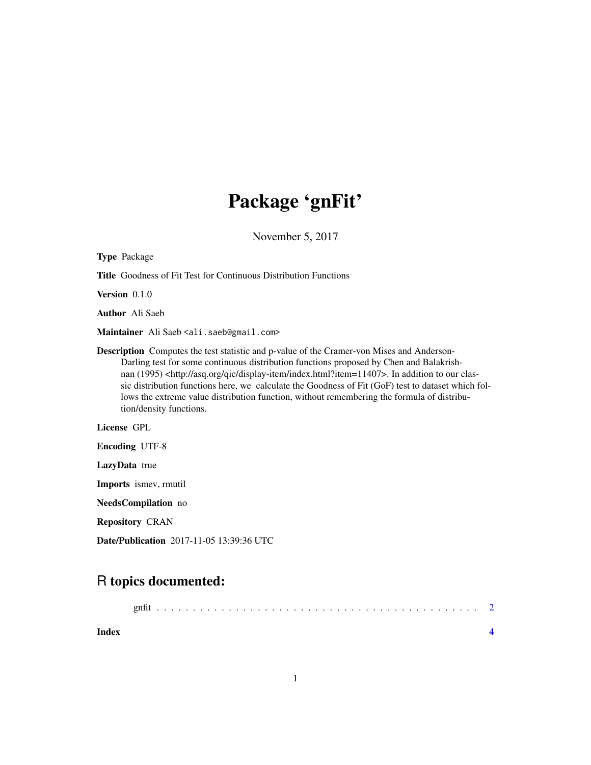## Package 'gnFit'

November 5, 2017

| <b>Type Package</b>                                                                                                                                                                                                                                                                                                                                                                                                                                                                                                                             |
|-------------------------------------------------------------------------------------------------------------------------------------------------------------------------------------------------------------------------------------------------------------------------------------------------------------------------------------------------------------------------------------------------------------------------------------------------------------------------------------------------------------------------------------------------|
| <b>Title</b> Goodness of Fit Test for Continuous Distribution Functions                                                                                                                                                                                                                                                                                                                                                                                                                                                                         |
| <b>Version</b> $0.1.0$                                                                                                                                                                                                                                                                                                                                                                                                                                                                                                                          |
| <b>Author</b> Ali Saeb                                                                                                                                                                                                                                                                                                                                                                                                                                                                                                                          |
| Maintainer Ali Saeb <ali.saeb@gmail.com></ali.saeb@gmail.com>                                                                                                                                                                                                                                                                                                                                                                                                                                                                                   |
| <b>Description</b> Computes the test statistic and p-value of the Cramer-von Mises and Anderson-<br>Darling test for some continuous distribution functions proposed by Chen and Balakrish-<br>nan (1995) <http: asq.org="" display-item="" index.html?item="11407" qic="">. In addition to our clas-<br/>sic distribution functions here, we calculate the Goodness of Fit (GoF) test to dataset which fol-<br/>lows the extreme value distribution function, without remembering the formula of distribu-<br/>tion/density functions.</http:> |
| <b>License GPL</b>                                                                                                                                                                                                                                                                                                                                                                                                                                                                                                                              |
| <b>Encoding UTF-8</b>                                                                                                                                                                                                                                                                                                                                                                                                                                                                                                                           |
| LazyData true                                                                                                                                                                                                                                                                                                                                                                                                                                                                                                                                   |
| Imports ismev, rmutil                                                                                                                                                                                                                                                                                                                                                                                                                                                                                                                           |
| NeedsCompilation no                                                                                                                                                                                                                                                                                                                                                                                                                                                                                                                             |
| <b>Repository CRAN</b>                                                                                                                                                                                                                                                                                                                                                                                                                                                                                                                          |

Date/Publication 2017-11-05 13:39:36 UTC

### R topics documented:

| Index |  |  |  |  |  |  |  |  |  |  |  |  |  |  |  |  |  |
|-------|--|--|--|--|--|--|--|--|--|--|--|--|--|--|--|--|--|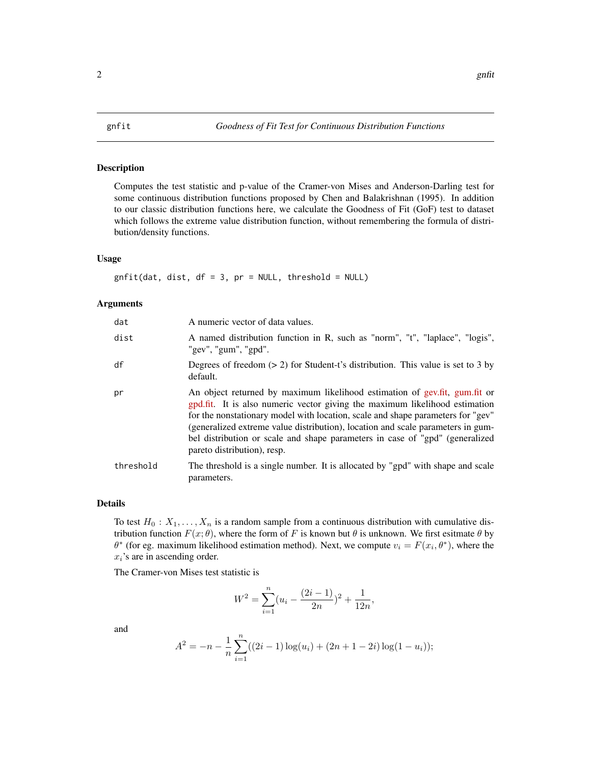<span id="page-1-0"></span>

#### Description

Computes the test statistic and p-value of the Cramer-von Mises and Anderson-Darling test for some continuous distribution functions proposed by Chen and Balakrishnan (1995). In addition to our classic distribution functions here, we calculate the Goodness of Fit (GoF) test to dataset which follows the extreme value distribution function, without remembering the formula of distribution/density functions.

#### Usage

 $gnfit(data, dist, df = 3, pr = NULL, threshold = NULL)$ 

#### Arguments

| dat       | A numeric vector of data values.                                                                                                                                                                                                                                                                                                                                                                                                               |
|-----------|------------------------------------------------------------------------------------------------------------------------------------------------------------------------------------------------------------------------------------------------------------------------------------------------------------------------------------------------------------------------------------------------------------------------------------------------|
| dist      | A named distribution function in R, such as "norm", "t", "laplace", "logis",<br>"gev", "gum", "gpd".                                                                                                                                                                                                                                                                                                                                           |
| df        | Degrees of freedom $(> 2)$ for Student-t's distribution. This value is set to 3 by<br>default.                                                                                                                                                                                                                                                                                                                                                 |
| pr        | An object returned by maximum likelihood estimation of gev.fit, gum.fit or<br>gpd.fit. It is also numeric vector giving the maximum likelihood estimation<br>for the nonstationary model with location, scale and shape parameters for "gev"<br>(generalized extreme value distribution), location and scale parameters in gum-<br>bel distribution or scale and shape parameters in case of "gpd" (generalized<br>pareto distribution), resp. |
| threshold | The threshold is a single number. It is allocated by "gpd" with shape and scale<br>parameters.                                                                                                                                                                                                                                                                                                                                                 |

#### Details

To test  $H_0: X_1, \ldots, X_n$  is a random sample from a continuous distribution with cumulative distribution function  $F(x; \theta)$ , where the form of F is known but  $\theta$  is unknown. We first esitmate  $\theta$  by  $\theta^*$  (for eg. maximum likelihood estimation method). Next, we compute  $v_i = F(x_i, \theta^*)$ , where the  $x_i$ 's are in ascending order.

The Cramer-von Mises test statistic is

$$
W^{2} = \sum_{i=1}^{n} (u_{i} - \frac{(2i-1)}{2n})^{2} + \frac{1}{12n},
$$

and

$$
A^{2} = -n - \frac{1}{n} \sum_{i=1}^{n} ((2i - 1) \log(u_{i}) + (2n + 1 - 2i) \log(1 - u_{i}));
$$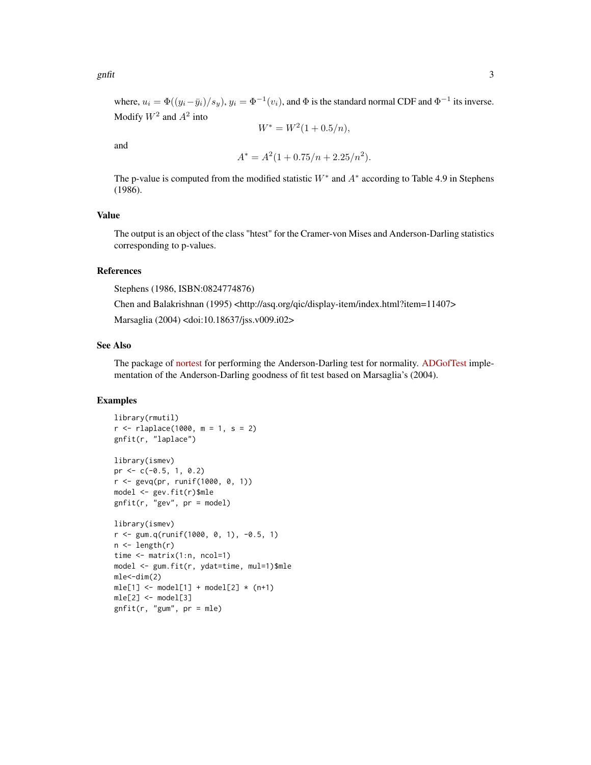where,  $u_i = \Phi((y_i - \bar{y}_i)/s_y)$ ,  $y_i = \Phi^{-1}(v_i)$ , and  $\Phi$  is the standard normal CDF and  $\Phi^{-1}$  its inverse. Modify  $W^2$  and  $A^2$  into

$$
W^* = W^2(1 + 0.5/n),
$$

and

$$
A^* = A^2(1 + 0.75/n + 2.25/n^2).
$$

The p-value is computed from the modified statistic  $W^*$  and  $A^*$  according to Table 4.9 in Stephens (1986).

#### Value

The output is an object of the class "htest" for the Cramer-von Mises and Anderson-Darling statistics corresponding to p-values.

#### References

Stephens (1986, ISBN:0824774876)

Chen and Balakrishnan (1995) <http://asq.org/qic/display-item/index.html?item=11407>

Marsaglia (2004) <doi:10.18637/jss.v009.i02>

#### See Also

The package of [nortest](https://CRAN.R-project.org/package=normtest) for performing the Anderson-Darling test for normality. [ADGofTest](https://CRAN.R-project.org/package=ADGofTest) implementation of the Anderson-Darling goodness of fit test based on Marsaglia's (2004).

#### Examples

```
library(rmutil)
r < -rlaplace(1000, m = 1, s = 2)
gnfit(r, "laplace")
library(ismev)
pr \leq -c(-0.5, 1, 0.2)r <- gevq(pr, runif(1000, 0, 1))
model <- gev.fit(r)$mle
gnfit(r, "gev", pr = model)
library(ismev)
r <- gum.q(runif(1000, 0, 1), -0.5, 1)
n \leftarrow length(r)time <- matrix(1:n, ncol=1)
model <- gum.fit(r, ydat=time, mul=1)$mle
mle < -dim(2)mle[1] \leftarrow model[1] + model[2] \times (n+1)mle[2] < - model[3]gnfit(r, "gum", pr = mle)
```